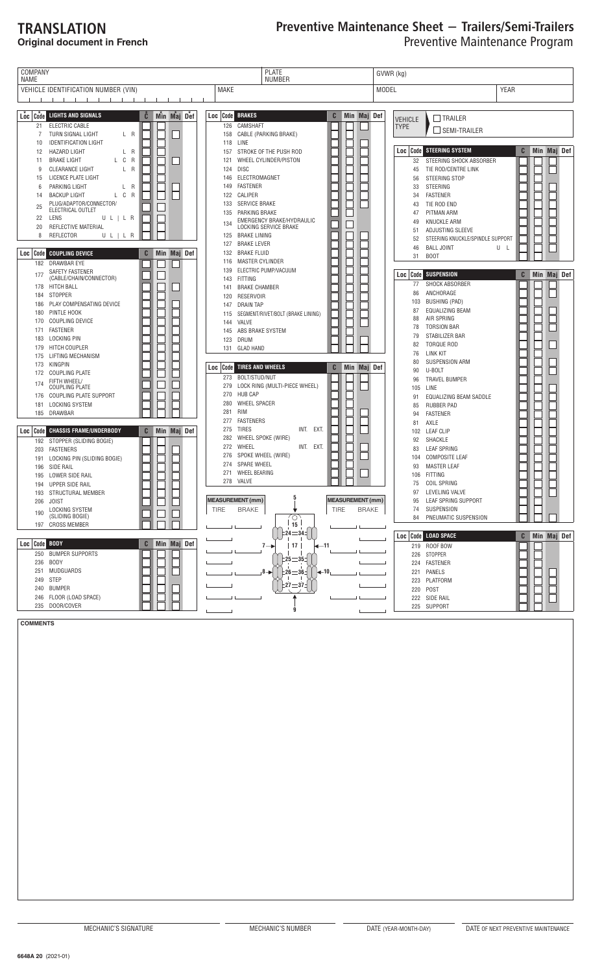# **TRANSLATION**

## **Original document in French**

# Preventive Maintenance Sheet – Trailers/Semi-Trailers Preventive Maintenance Program

| COMPANY<br>NAME                                                                 | GVWR (kg)                                                     |                                                                  |  |  |
|---------------------------------------------------------------------------------|---------------------------------------------------------------|------------------------------------------------------------------|--|--|
| VEHICLE IDENTIFICATION NUMBER (VIN)                                             | <b>NUMBER</b><br><b>MAKE</b>                                  | <b>YEAR</b><br>MODEL                                             |  |  |
| and the contract of the con-<br>$-1$ $-1$ $-1$                                  |                                                               |                                                                  |  |  |
|                                                                                 |                                                               |                                                                  |  |  |
| Loc   Code  <br><b>LIGHTS AND SIGNALS</b><br>Ĉ<br>Min Maj Def                   | <b>Loc</b> Code BRAKES<br>C<br>Min Maj Def                    | $\Box$ TRAILER<br>VEHICLE                                        |  |  |
| ELECTRIC CABLE<br>21                                                            | 126<br>CAMSHAFT                                               | <b>TYPE</b><br>SEMI-TRAILER                                      |  |  |
| 7<br>TURN SIGNAL LIGHT<br>L R                                                   | 158 CABLE (PARKING BRAKE)                                     |                                                                  |  |  |
| <b>IDENTIFICATION LIGHT</b><br>10                                               | LINE<br>118                                                   | <b>Code STEERING SYSTEM</b><br>C<br>Min Maj Def                  |  |  |
| HAZARD LIGHT<br>L R<br>12<br>C<br>$\overline{\mathsf{R}}$<br><b>BRAKE LIGHT</b> | STROKE OF THE PUSH ROD<br>157<br>WHEEL CYLINDER/PISTON<br>121 | Loc                                                              |  |  |
| 11<br>L.<br>L R<br><b>CLEARANCE LIGHT</b><br>9                                  | <b>DISC</b><br>124                                            | STEERING SHOCK ABSORBER<br>32<br>45<br>TIE ROD/CENTRE LINK       |  |  |
| 15<br>LICENCE PLATE LIGHT                                                       | ELECTROMAGNET<br>146                                          | STEERING STOP<br>56                                              |  |  |
| PARKING LIGHT<br>L R<br>6                                                       | <b>FASTENER</b><br>149                                        | <b>STEERING</b><br>33                                            |  |  |
| C<br>$\overline{R}$<br><b>BACKUP LIGHT</b><br>L.<br>14                          | CALIPER<br>122                                                | <b>FASTENER</b><br>34                                            |  |  |
| PLUG/ADAPTOR/CONNECTOR/<br>25                                                   | SERVICE BRAKE<br>133                                          | TIE ROD END<br>43                                                |  |  |
| ELECTRICAL OUTLET<br>LENS<br>U L   L R<br>22                                    | PARKING BRAKE<br>135                                          | PITMAN ARM<br>47                                                 |  |  |
| REFLECTIVE MATERIAL<br>20                                                       | EMERGENCY BRAKE/HYDRAULIC<br>134<br>LOCKING SERVICE BRAKE     | <b>KNUCKLE ARM</b><br>49                                         |  |  |
| REFLECTOR<br>8<br>U L   L R                                                     | <b>BRAKE LINING</b><br>125                                    | 51<br>ADJUSTING SLEEVE<br>52<br>STEERING KNUCKLE/SPINDLE SUPPORT |  |  |
|                                                                                 | <b>BRAKE LEVER</b><br>127                                     | <b>BALL JOINT</b><br>46<br>U L                                   |  |  |
| C<br>Min Maj Def<br><b>COUPLING DEVICE</b><br>Loc<br>  Code                     | <b>BRAKE FLUID</b><br>132                                     | 31<br><b>BOOT</b>                                                |  |  |
| 182 DRAWBAR EYE                                                                 | <b>MASTER CYLINDER</b><br>116                                 |                                                                  |  |  |
| SAFETY FASTENER<br>177<br>(CABLE/CHAIN/CONNECTOR)                               | ELECTRIC PUMP/VACUUM<br>139                                   | Min Maj Def<br>  Code<br>SUSPENSION<br>C<br>Loc                  |  |  |
| <b>HITCH BALL</b><br>178                                                        | <b>FITTING</b><br>143<br><b>BRAKE CHAMBER</b><br>141          | <b>SHOCK ABSORBER</b><br>77                                      |  |  |
| <b>STOPPER</b><br>184                                                           | <b>RESERVOIR</b><br>120                                       | ANCHORAGE<br>86                                                  |  |  |
| PLAY COMPENSATING DEVICE<br>186                                                 | <b>DRAIN TAP</b><br>147                                       | 103<br><b>BUSHING (PAD)</b>                                      |  |  |
| PINTLE HOOK<br>180                                                              | SEGMENT/RIVET/BOLT (BRAKE LINING)<br>115                      | EQUALIZING BEAM<br>87                                            |  |  |
| COUPLING DEVICE<br>170                                                          | VALVE<br>144                                                  | AIR SPRING<br>88<br><b>TORSION BAR</b><br>78                     |  |  |
| FASTENER<br>171                                                                 | ABS BRAKE SYSTEM<br>145                                       | STABILIZER BAR<br>79                                             |  |  |
| <b>LOCKING PIN</b><br>183                                                       | DRUM<br>123                                                   | <b>TORQUE ROD</b><br>82                                          |  |  |
| HITCH COUPLER<br>179<br>LIFTING MECHANISM<br>175                                | 131 GLAD HAND                                                 | 76<br><b>LINK KIT</b>                                            |  |  |
| KINGPIN<br>173                                                                  |                                                               | <b>SUSPENSION ARM</b><br>80                                      |  |  |
| COUPLING PLATE<br>172                                                           | <b>Loc Code TIRES AND WHEELS</b><br>C<br>  Min Maj Def        | 90<br>U-BOLT                                                     |  |  |
| FIFTH WHEEL<br>174                                                              | BOLT/STUD/NUT<br>273<br>279<br>LOCK RING (MULTI-PIECE WHEEL)  | <b>TRAVEL BUMPER</b><br>96                                       |  |  |
| COUPLING PLATE<br>COUPLING PLATE SUPPORT<br>176                                 | <b>HUB CAP</b><br>270                                         | 105<br>LINE                                                      |  |  |
| LOCKING SYSTEM<br>181                                                           | 280<br><b>WHEEL SPACER</b>                                    | EQUALIZING BEAM SADDLE<br>91<br><b>RUBBER PAD</b><br>85          |  |  |
| DRAWBAR<br>185                                                                  | 281<br>RIM                                                    | <b>FASTENER</b><br>94                                            |  |  |
|                                                                                 | <b>FASTENERS</b><br>277                                       | AXLE<br>81                                                       |  |  |
| <b>CHASSIS FRAME/UNDERBODY</b><br>C<br>Min Maj Def<br>  Code  <br>Loc           | 275<br><b>TIRES</b><br>INT. EXT.                              | <b>LEAF CLIP</b><br>102                                          |  |  |
| 192 STOPPER (SLIDING BOGIE)                                                     | 282<br>WHEEL SPOKE (WIRE)                                     | SHACKLE<br>92                                                    |  |  |
| <b>FASTENERS</b><br>203                                                         | 272<br>WHEEL<br>INT. EXT.<br>SPOKE WHEEL (WIRE)<br>276        | <b>LEAF SPRING</b><br>83                                         |  |  |
| LOCKING PIN (SLIDING BOGIE)<br>191                                              | 274<br><b>SPARE WHEEL</b>                                     | <b>COMPOSITE LEAF</b><br>104<br><b>MASTER LEAF</b>               |  |  |
| SIDE RAIL<br>196<br>LOWER SIDE RAIL<br>195                                      | 271<br>WHEEL BEARING                                          | 93<br><b>FITTING</b><br>106                                      |  |  |
| UPPER SIDE RAIL<br>194                                                          | 278 VALVE                                                     | <b>COIL SPRING</b><br>75                                         |  |  |
| 193 STRUCTURAL MEMBER                                                           |                                                               | 97<br>LEVELING VALVE                                             |  |  |
| 206 JOIST                                                                       | 5<br>MEASUREMENT (mm)<br><b>MEASUREMENT (mm)</b>              | LEAF SPRING SUPPORT<br>95                                        |  |  |
| LOCKING SYSTEM<br>190                                                           | TIRE<br><b>BRAKE</b><br><b>TIRE</b><br><b>BRAKE</b>           | 74 SUSPENSION                                                    |  |  |
| (SLIDING BOGIE)<br>197 CROSS MEMBER                                             | O<br>15                                                       | PNEUMATIC SUSPENSION<br>84                                       |  |  |
|                                                                                 | $\lfloor 24 \right)$ = 34                                     |                                                                  |  |  |
| Min Maj Def<br>Loc Code BODY<br>C                                               |                                                               | Loc Code LOAD SPACE<br>C Min Maj Def                             |  |  |
| 250 BUMPER SUPPORTS                                                             | $7 \rightarrow$<br> 17 <br>I—11                               | 219 ROOF BOW<br>226 STOPPER                                      |  |  |
| 236 BODY                                                                        | $\frac{1}{25} = 351$                                          | FASTENER<br>224                                                  |  |  |
| 251 MUDGUARDS                                                                   | $\frac{1}{26} = 361$<br>$-10$<br>8—)⊳                         | 221 PANELS                                                       |  |  |
| 249 STEP                                                                        |                                                               | 223 PLATFORM                                                     |  |  |
| 240 BUMPER                                                                      | $27 = 371$                                                    | 220 POST                                                         |  |  |
| 246 FLOOR (LOAD SPACE)                                                          |                                                               | 222 SIDE RAIL                                                    |  |  |
| 235 DOOR/COVER                                                                  | g                                                             | 225 SUPPORT                                                      |  |  |

**COMMENTS**